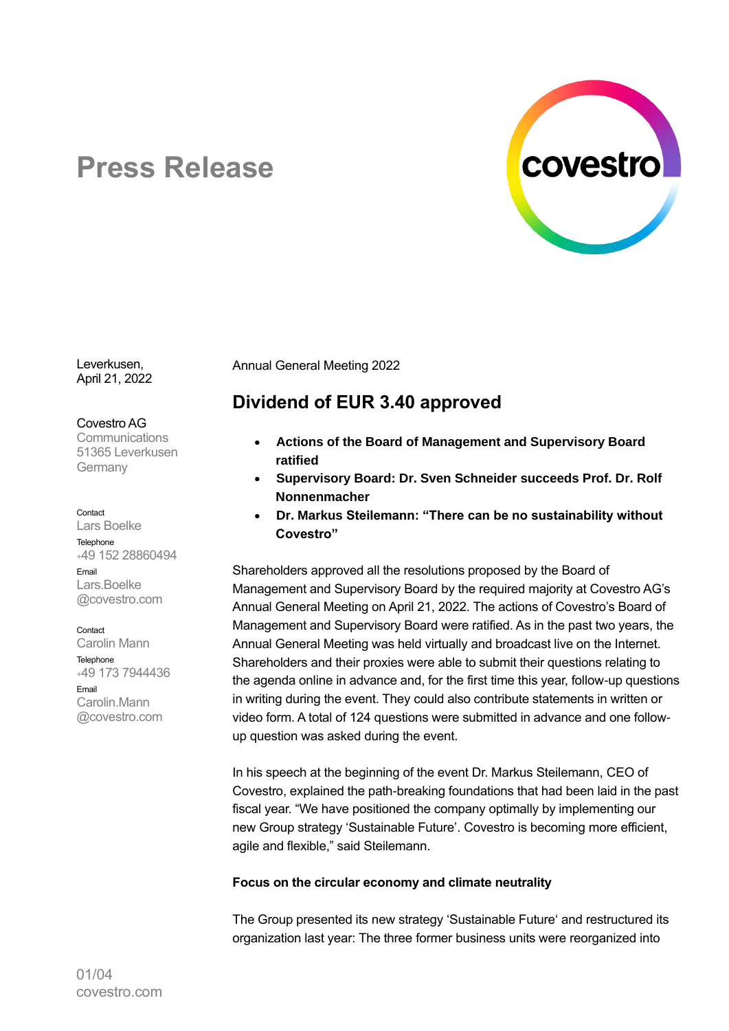

# **Press Release**

Leverkusen, April 21, 2022

Covestro AG

**Communications** 51365 Leverkusen Germany

#### Contact

Lars Boelke Telephone <sup>+</sup>49 152 28860494 Email Lars.Boelke @covestro.com

Contact Carolin Mann Telephone <sup>+</sup>49 173 7944436 Email Carolin.Mann @covestro.com

Annual General Meeting 2022

# **Dividend of EUR 3.40 approved**

- **Actions of the Board of Management and Supervisory Board ratified**
- **Supervisory Board: Dr. Sven Schneider succeeds Prof. Dr. Rolf Nonnenmacher**
- **Dr. Markus Steilemann: "There can be no sustainability without Covestro"**

Shareholders approved all the resolutions proposed by the Board of Management and Supervisory Board by the required majority at Covestro AG's Annual General Meeting on April 21, 2022. The actions of Covestro's Board of Management and Supervisory Board were ratified. As in the past two years, the Annual General Meeting was held virtually and broadcast live on the Internet. Shareholders and their proxies were able to submit their questions relating to the agenda online in advance and, for the first time this year, follow-up questions in writing during the event. They could also contribute statements in written or video form. A total of 124 questions were submitted in advance and one followup question was asked during the event.

In his speech at the beginning of the event Dr. Markus Steilemann, CEO of Covestro, explained the path-breaking foundations that had been laid in the past fiscal year. "We have positioned the company optimally by implementing our new Group strategy 'Sustainable Future'. Covestro is becoming more efficient, agile and flexible," said Steilemann.

## **Focus on the circular economy and climate neutrality**

The Group presented its new strategy 'Sustainable Future' and restructured its organization last year: The three former business units were reorganized into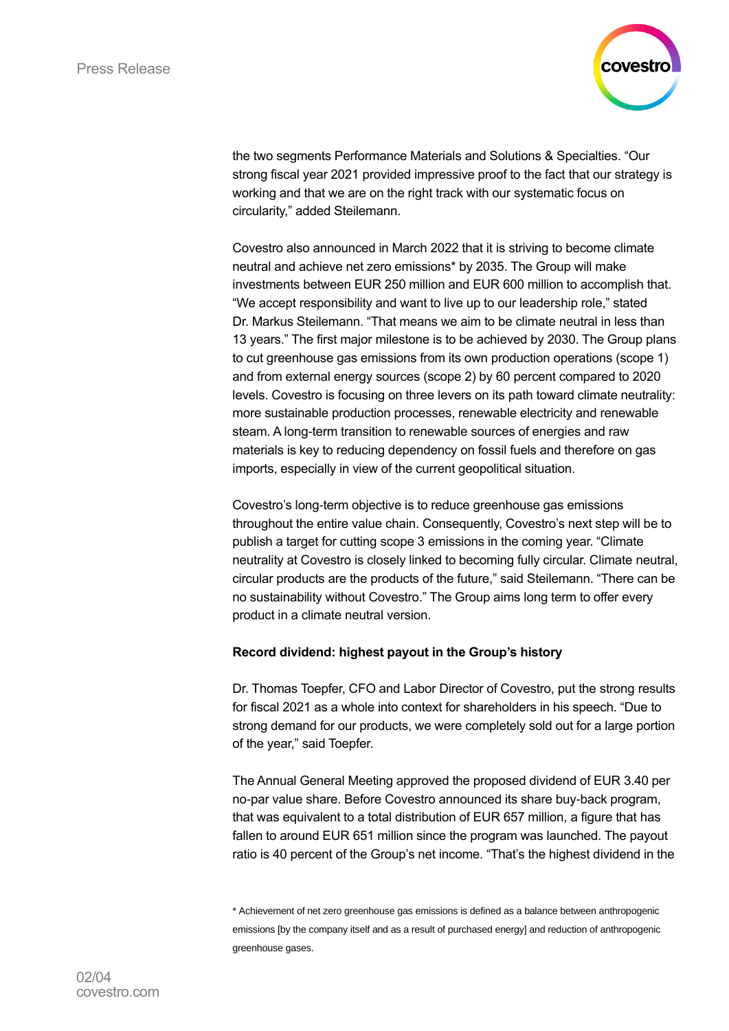

the two segments Performance Materials and Solutions & Specialties. "Our strong fiscal year 2021 provided impressive proof to the fact that our strategy is working and that we are on the right track with our systematic focus on circularity," added Steilemann.

Covestro also announced in March 2022 that it is striving to become climate neutral and achieve net zero emissions\* by 2035. The Group will make investments between EUR 250 million and EUR 600 million to accomplish that. "We accept responsibility and want to live up to our leadership role," stated Dr. Markus Steilemann. "That means we aim to be climate neutral in less than 13 years." The first major milestone is to be achieved by 2030. The Group plans to cut greenhouse gas emissions from its own production operations (scope 1) and from external energy sources (scope 2) by 60 percent compared to 2020 levels. Covestro is focusing on three levers on its path toward climate neutrality: more sustainable production processes, renewable electricity and renewable steam. A long-term transition to renewable sources of energies and raw materials is key to reducing dependency on fossil fuels and therefore on gas imports, especially in view of the current geopolitical situation.

Covestro's long-term objective is to reduce greenhouse gas emissions throughout the entire value chain. Consequently, Covestro's next step will be to publish a target for cutting scope 3 emissions in the coming year. "Climate neutrality at Covestro is closely linked to becoming fully circular. Climate neutral, circular products are the products of the future," said Steilemann. "There can be no sustainability without Covestro." The Group aims long term to offer every product in a climate neutral version.

## **Record dividend: highest payout in the Group's history**

Dr. Thomas Toepfer, CFO and Labor Director of Covestro, put the strong results for fiscal 2021 as a whole into context for shareholders in his speech. "Due to strong demand for our products, we were completely sold out for a large portion of the year," said Toepfer.

The Annual General Meeting approved the proposed dividend of EUR 3.40 per no-par value share. Before Covestro announced its share buy-back program, that was equivalent to a total distribution of EUR 657 million, a figure that has fallen to around EUR 651 million since the program was launched. The payout ratio is 40 percent of the Group's net income. "That's the highest dividend in the

<sup>\*</sup> Achievement of net zero greenhouse gas emissions is defined as a balance between anthropogenic emissions [by the company itself and as a result of purchased energy] and reduction of anthropogenic greenhouse gases.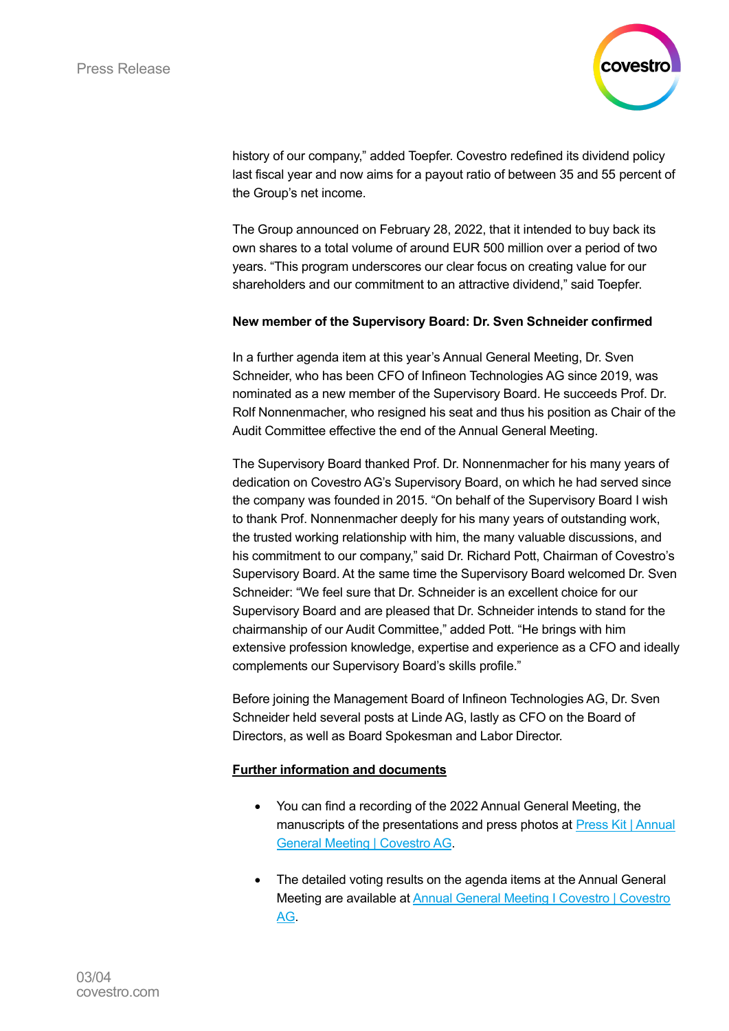

history of our company," added Toepfer. Covestro redefined its dividend policy last fiscal year and now aims for a payout ratio of between 35 and 55 percent of the Group's net income.

The Group announced on February 28, 2022, that it intended to buy back its own shares to a total volume of around EUR 500 million over a period of two years. "This program underscores our clear focus on creating value for our shareholders and our commitment to an attractive dividend," said Toepfer.

## **New member of the Supervisory Board: Dr. Sven Schneider confirmed**

In a further agenda item at this year's Annual General Meeting, Dr. Sven Schneider, who has been CFO of Infineon Technologies AG since 2019, was nominated as a new member of the Supervisory Board. He succeeds Prof. Dr. Rolf Nonnenmacher, who resigned his seat and thus his position as Chair of the Audit Committee effective the end of the Annual General Meeting.

The Supervisory Board thanked Prof. Dr. Nonnenmacher for his many years of dedication on Covestro AG's Supervisory Board, on which he had served since the company was founded in 2015. "On behalf of the Supervisory Board I wish to thank Prof. Nonnenmacher deeply for his many years of outstanding work, the trusted working relationship with him, the many valuable discussions, and his commitment to our company," said Dr. Richard Pott, Chairman of Covestro's Supervisory Board. At the same time the Supervisory Board welcomed Dr. Sven Schneider: "We feel sure that Dr. Schneider is an excellent choice for our Supervisory Board and are pleased that Dr. Schneider intends to stand for the chairmanship of our Audit Committee," added Pott. "He brings with him extensive profession knowledge, expertise and experience as a CFO and ideally complements our Supervisory Board's skills profile."

Before joining the Management Board of Infineon Technologies AG, Dr. Sven Schneider held several posts at Linde AG, lastly as CFO on the Board of Directors, as well as Board Spokesman and Labor Director.

## **Further information and documents**

- You can find a recording of the 2022 Annual General Meeting, the manuscripts of the presentations and press photos at [Press Kit](https://www.covestro.com/press/press-kit-annual-general-meeting-2022/) | Annual [General Meeting | Covestro](https://www.covestro.com/press/press-kit-annual-general-meeting-2022/) AG.
- The detailed voting results on the agenda items at the Annual General Meeting are available a[t Annual General Meeting I Covestro | Covestro](https://www.covestro.com/en/investors/annual-general-meeting)  [AG.](https://www.covestro.com/en/investors/annual-general-meeting)